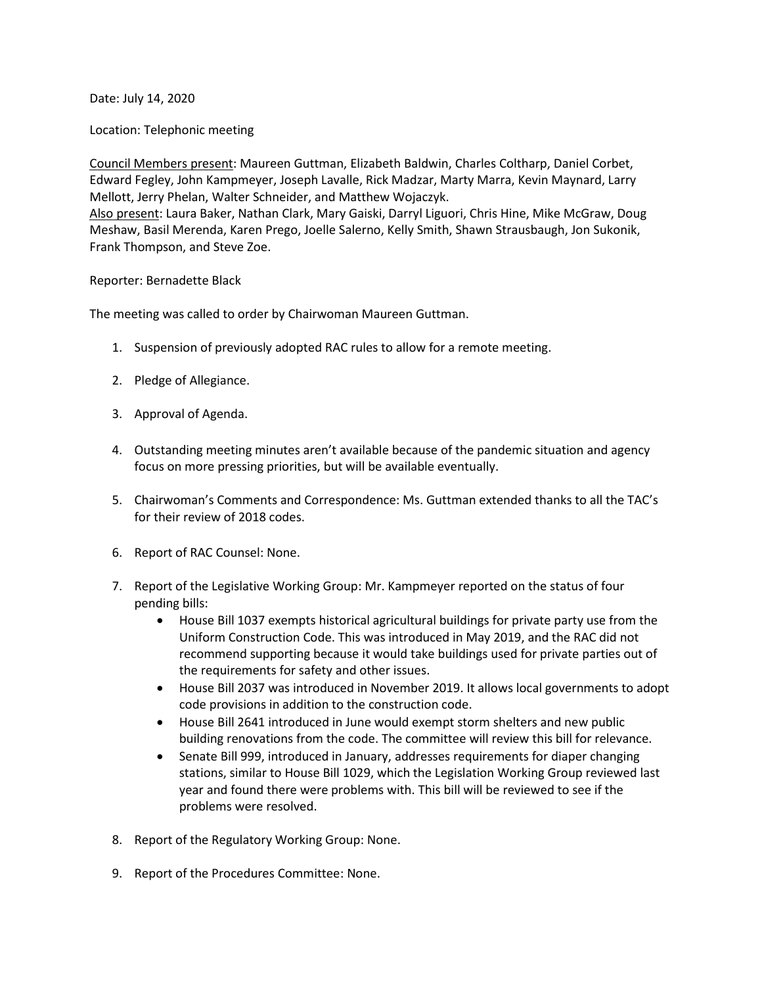Date: July 14, 2020

Location: Telephonic meeting

Council Members present: Maureen Guttman, Elizabeth Baldwin, Charles Coltharp, Daniel Corbet, Edward Fegley, John Kampmeyer, Joseph Lavalle, Rick Madzar, Marty Marra, Kevin Maynard, Larry Mellott, Jerry Phelan, Walter Schneider, and Matthew Wojaczyk.

Also present: Laura Baker, Nathan Clark, Mary Gaiski, Darryl Liguori, Chris Hine, Mike McGraw, Doug Meshaw, Basil Merenda, Karen Prego, Joelle Salerno, Kelly Smith, Shawn Strausbaugh, Jon Sukonik, Frank Thompson, and Steve Zoe.

## Reporter: Bernadette Black

The meeting was called to order by Chairwoman Maureen Guttman.

- 1. Suspension of previously adopted RAC rules to allow for a remote meeting.
- 2. Pledge of Allegiance.
- 3. Approval of Agenda.
- 4. Outstanding meeting minutes aren't available because of the pandemic situation and agency focus on more pressing priorities, but will be available eventually.
- 5. Chairwoman's Comments and Correspondence: Ms. Guttman extended thanks to all the TAC's for their review of 2018 codes.
- 6. Report of RAC Counsel: None.
- 7. Report of the Legislative Working Group: Mr. Kampmeyer reported on the status of four pending bills:
	- House Bill 1037 exempts historical agricultural buildings for private party use from the Uniform Construction Code. This was introduced in May 2019, and the RAC did not recommend supporting because it would take buildings used for private parties out of the requirements for safety and other issues.
	- House Bill 2037 was introduced in November 2019. It allows local governments to adopt code provisions in addition to the construction code.
	- House Bill 2641 introduced in June would exempt storm shelters and new public building renovations from the code. The committee will review this bill for relevance.
	- Senate Bill 999, introduced in January, addresses requirements for diaper changing stations, similar to House Bill 1029, which the Legislation Working Group reviewed last year and found there were problems with. This bill will be reviewed to see if the problems were resolved.
- 8. Report of the Regulatory Working Group: None.
- 9. Report of the Procedures Committee: None.